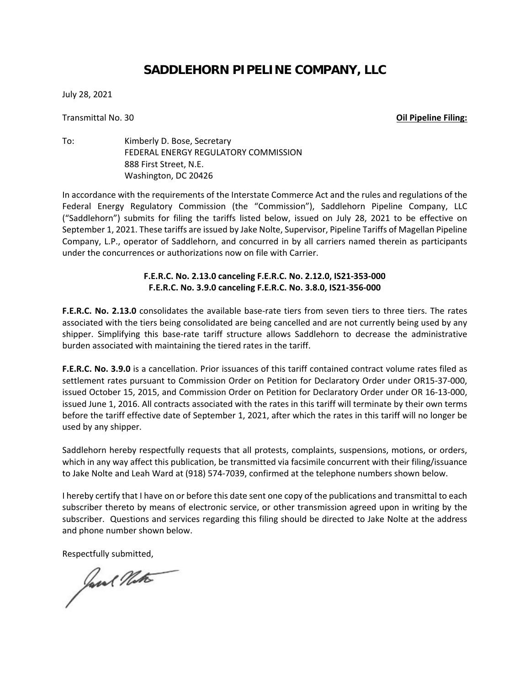## **SADDLEHORN PIPELINE COMPANY, LLC**

July 28, 2021

Transmittal No. 30 **Oil Pipeline Filing:**

To: Kimberly D. Bose, Secretary FEDERAL ENERGY REGULATORY COMMISSION 888 First Street, N.E. Washington, DC 20426

In accordance with the requirements of the Interstate Commerce Act and the rules and regulations of the Federal Energy Regulatory Commission (the "Commission"), Saddlehorn Pipeline Company, LLC ("Saddlehorn") submits for filing the tariffs listed below, issued on July 28, 2021 to be effective on September 1, 2021. These tariffs are issued by Jake Nolte, Supervisor, Pipeline Tariffs of Magellan Pipeline Company, L.P., operator of Saddlehorn, and concurred in by all carriers named therein as participants under the concurrences or authorizations now on file with Carrier.

## **F.E.R.C. No. 2.13.0 canceling F.E.R.C. No. 2.12.0, IS21-353-000 F.E.R.C. No. 3.9.0 canceling F.E.R.C. No. 3.8.0, IS21-356-000**

**F.E.R.C. No. 2.13.0** consolidates the available base-rate tiers from seven tiers to three tiers. The rates associated with the tiers being consolidated are being cancelled and are not currently being used by any shipper. Simplifying this base-rate tariff structure allows Saddlehorn to decrease the administrative burden associated with maintaining the tiered rates in the tariff.

**F.E.R.C. No. 3.9.0** is a cancellation. Prior issuances of this tariff contained contract volume rates filed as settlement rates pursuant to Commission Order on Petition for Declaratory Order under OR15-37-000, issued October 15, 2015, and Commission Order on Petition for Declaratory Order under OR 16-13-000, issued June 1, 2016. All contracts associated with the rates in this tariff will terminate by their own terms before the tariff effective date of September 1, 2021, after which the rates in this tariff will no longer be used by any shipper.

Saddlehorn hereby respectfully requests that all protests, complaints, suspensions, motions, or orders, which in any way affect this publication, be transmitted via facsimile concurrent with their filing/issuance to Jake Nolte and Leah Ward at (918) 574-7039, confirmed at the telephone numbers shown below.

I hereby certify that I have on or before this date sent one copy of the publications and transmittal to each subscriber thereto by means of electronic service, or other transmission agreed upon in writing by the subscriber. Questions and services regarding this filing should be directed to Jake Nolte at the address and phone number shown below.

Respectfully submitted,<br>have the Water